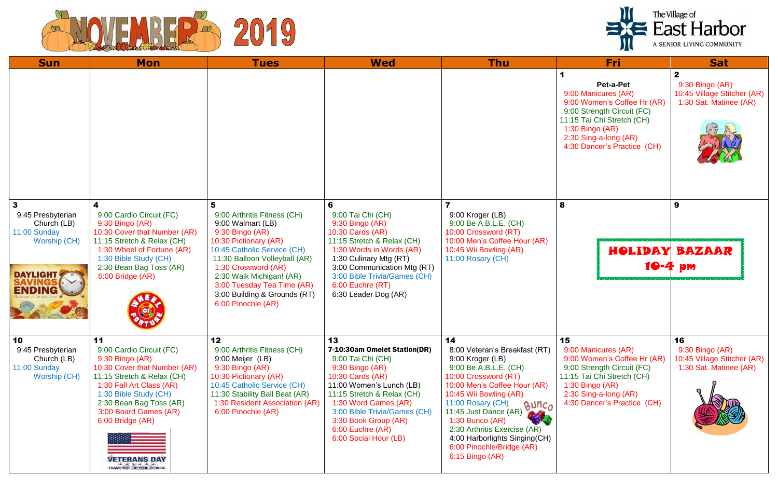



| <b>Sun</b>                                                                       | <b>Mon</b>                                                                                                                                                                                                                                                                                        | <b>Tues</b>                                                                                                                                                                                                                | <b>Wed</b>                                                                                                                                                                                                                                                                            | <b>Thu</b>                                                                                                                                                                                                                                                                                                                                                      | <b>Fri</b>                                                                                                                                                                                             | <b>Sat</b>                                                                 |
|----------------------------------------------------------------------------------|---------------------------------------------------------------------------------------------------------------------------------------------------------------------------------------------------------------------------------------------------------------------------------------------------|----------------------------------------------------------------------------------------------------------------------------------------------------------------------------------------------------------------------------|---------------------------------------------------------------------------------------------------------------------------------------------------------------------------------------------------------------------------------------------------------------------------------------|-----------------------------------------------------------------------------------------------------------------------------------------------------------------------------------------------------------------------------------------------------------------------------------------------------------------------------------------------------------------|--------------------------------------------------------------------------------------------------------------------------------------------------------------------------------------------------------|----------------------------------------------------------------------------|
|                                                                                  |                                                                                                                                                                                                                                                                                                   |                                                                                                                                                                                                                            |                                                                                                                                                                                                                                                                                       |                                                                                                                                                                                                                                                                                                                                                                 | Pet-a-Pet<br>9:00 Manicures (AR)<br>9:00 Women's Coffee Hr (AR)<br>9:00 Strength Circuit (FC)<br>11:15 Tai Chi Stretch (CH)<br>1:30 Bingo (AR)<br>2:30 Sing-a-long (AR)<br>4:30 Dancer's Practice (CH) | $\mathbf{2}$<br>9:30 Bingo (AR)<br>10:45 Village Stitc<br>1:30 Sat. Matine |
| $\mathbf{3}$<br>9:45 Presbyterian<br>Church (LB)<br>11:00 Sunday<br>Worship (CH) | 4<br>9:00 Cardio Circuit (FC)<br>9:30 Bingo (AR)<br>10:30 Cover that Number (AR)<br>11:15 Stretch & Relax (CH)                                                                                                                                                                                    | 5<br>9:00 Arthritis Fitness (CH)<br>9:00 Walmart (LB)<br>9:30 Bingo (AR)<br>10:30 Pictionary (AR)                                                                                                                          | 6<br>9:00 Tai Chi (CH)<br>9:30 Bingo (AR)<br>10:30 Cards (AR)<br>11:15 Stretch & Relax (CH)                                                                                                                                                                                           | 9:00 Kroger (LB)<br>9:00 Be A.B.L.E. (CH)<br>10:00 Crossword (RT)<br>10:00 Men's Coffee Hour (AR)                                                                                                                                                                                                                                                               | 8                                                                                                                                                                                                      | 9                                                                          |
| <b>DAYLIGHT</b>                                                                  | 1:30 Wheel of Fortune (AR)<br>1:30 Bible Study (CH)<br>2:30 Bean Bag Toss (AR)<br>6:00 Bridge (AR)                                                                                                                                                                                                | 10:45 Catholic Service (CH)<br>11:30 Balloon Volleyball (AR)<br>1:30 Crossword (AR)<br>2:30 Walk Michigan! (AR)<br>3:00 Tuesday Tea Time (AR)<br>3:00 Building & Grounds (RT)<br>6:00 Pinochle (AR)                        | 1:30 Words in Words (AR)<br>1:30 Culinary Mtg (RT)<br>3:00 Communication Mtg (RT)<br>3:00 Bible Trivia/Games (CH)<br>6:00 Euchre (RT)<br>6:30 Leader Dog (AR)                                                                                                                         | 10:45 Wii Bowling (AR)<br>11:00 Rosary (CH)                                                                                                                                                                                                                                                                                                                     | HOLIDAY                                                                                                                                                                                                | BAZAAR<br>10-4 pm                                                          |
| 10<br>9:45 Presbyterian<br>Church (LB)<br>11:00 Sunday<br>Worship (CH)           | 11<br>9:00 Cardio Circuit (FC)<br>9:30 Bingo (AR)<br>10:30 Cover that Number (AR)<br>11:15 Stretch & Relax (CH)<br>1:30 Fall Art Class (AR)<br>1:30 Bible Study (CH)<br>2:30 Bean Bag Toss (AR)<br>3:00 Board Games (AR)<br>6:00 Bridge (AR)<br>VETERANS DAY<br><b>THANK YOU FOR YOUR SERVICE</b> | 12<br>9:00 Arthritis Fitness (CH)<br>9:00 Meijer (LB)<br>9:30 Bingo (AR)<br>10:30 Pictionary (AR)<br>10:45 Catholic Service (CH)<br>11:30 Stability Ball Beat (AR)<br>1:30 Resident Association (AR)<br>6:00 Pinochle (AR) | 13<br>7-10:30am Omelet Station(DR)<br>9:00 Tai Chi (CH)<br>9:30 Bingo (AR)<br>10:30 Cards (AR)<br>11:00 Women's Lunch (LB)<br>11:15 Stretch & Relax (CH)<br>1:30 Word Games (AR)<br>3:00 Bible Trivia/Games (CH)<br>3:30 Book Group (AR)<br>6:00 Euchre (AR)<br>6:00 Social Hour (LB) | 14<br>8:00 Veteran's Breakfast (RT)<br>9:00 Kroger (LB)<br>9:00 Be A.B.L.E. (CH)<br>10:00 Crossword (RT)<br>10:00 Men's Coffee Hour (AR)<br>10:45 Wii Bowling (AR)<br>11:00 Rosary (CH)<br>BUNCO<br>11:45 Just Dance (AR)<br>$1:30$ Bunco (AR)<br>2:30 Arthritis Exercise (AR)<br>4:00 Harborlights Singing(CH)<br>6:00 Pinochle/Bridge (AR)<br>6:15 Bingo (AR) | 15<br>9:00 Manicures (AR)<br>9:00 Women's Coffee Hr (AR)<br>9:00 Strength Circuit (FC)<br>11:15 Tai Chi Stretch (CH)<br>1:30 Bingo (AR)<br>2:30 Sing-a-long (AR)<br>4:30 Dancer's Practice (CH)        | 16<br>9:30 Bingo (AR)<br>10:45 Village Stitc<br>1:30 Sat. Matine           |